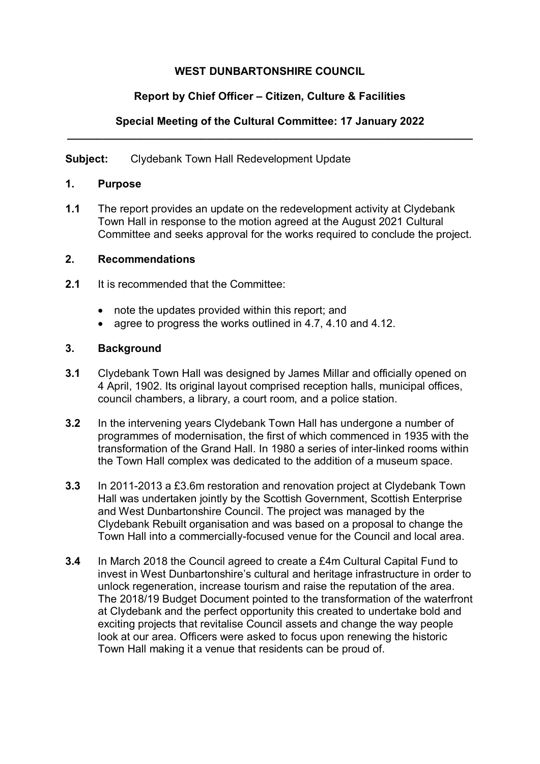# **WEST DUNBARTONSHIRE COUNCIL**

# **Report by Chief Officer – Citizen, Culture & Facilities**

#### **Special Meeting of the Cultural Committee: 17 January 2022 \_\_\_\_\_\_\_\_\_\_\_\_\_\_\_\_\_\_\_\_\_\_\_\_\_\_\_\_\_\_\_\_\_\_\_\_\_\_\_\_\_\_\_\_\_\_\_\_\_\_\_\_\_\_\_\_\_\_\_\_\_\_\_\_\_\_\_**

**Subject:** Clydebank Town Hall Redevelopment Update

#### **1. Purpose**

**1.1** The report provides an update on the redevelopment activity at Clydebank Town Hall in response to the motion agreed at the August 2021 Cultural Committee and seeks approval for the works required to conclude the project.

#### **2. Recommendations**

- **2.1** It is recommended that the Committee:
	- note the updates provided within this report; and
	- agree to progress the works outlined in 4.7, 4.10 and 4.12.

#### **3. Background**

- **3.1** Clydebank Town Hall was designed by James Millar and officially opened on 4 April, 1902. Its original layout comprised reception halls, municipal offices, council chambers, a library, a court room, and a police station.
- **3.2** In the intervening years Clydebank Town Hall has undergone a number of programmes of modernisation, the first of which commenced in 1935 with the transformation of the Grand Hall. In 1980 a series of inter-linked rooms within the Town Hall complex was dedicated to the addition of a museum space.
- **3.3** In 2011-2013 a £3.6m restoration and renovation project at Clydebank Town Hall was undertaken jointly by the Scottish Government, Scottish Enterprise and West Dunbartonshire Council. The project was managed by the Clydebank Rebuilt organisation and was based on a proposal to change the Town Hall into a commercially-focused venue for the Council and local area.
- **3.4** In March 2018 the Council agreed to create a £4m Cultural Capital Fund to invest in West Dunbartonshire's cultural and heritage infrastructure in order to unlock regeneration, increase tourism and raise the reputation of the area. The 2018/19 Budget Document pointed to the transformation of the waterfront at Clydebank and the perfect opportunity this created to undertake bold and exciting projects that revitalise Council assets and change the way people look at our area. Officers were asked to focus upon renewing the historic Town Hall making it a venue that residents can be proud of.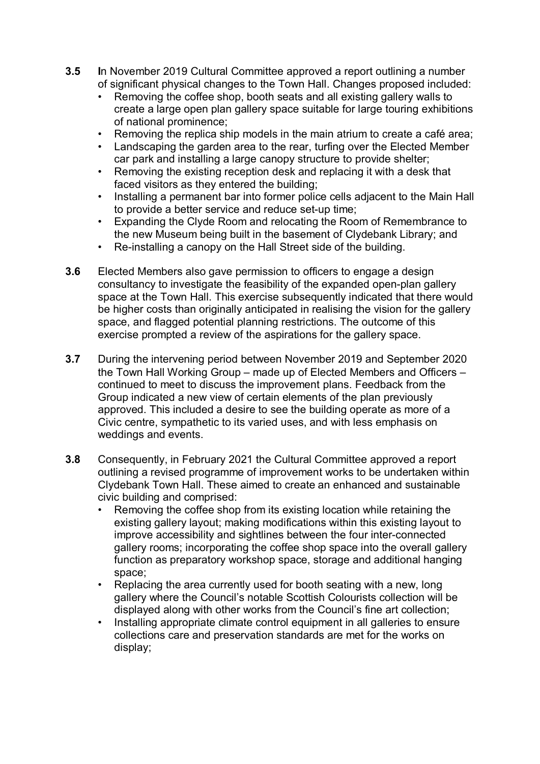- **3.5 I**n November 2019 Cultural Committee approved a report outlining a number of significant physical changes to the Town Hall. Changes proposed included:
	- Removing the coffee shop, booth seats and all existing gallery walls to create a large open plan gallery space suitable for large touring exhibitions of national prominence;
	- Removing the replica ship models in the main atrium to create a café area;
	- Landscaping the garden area to the rear, turfing over the Elected Member car park and installing a large canopy structure to provide shelter;
	- Removing the existing reception desk and replacing it with a desk that faced visitors as they entered the building;
	- Installing a permanent bar into former police cells adjacent to the Main Hall to provide a better service and reduce set-up time;
	- Expanding the Clyde Room and relocating the Room of Remembrance to the new Museum being built in the basement of Clydebank Library; and
	- Re-installing a canopy on the Hall Street side of the building.
- **3.6** Elected Members also gave permission to officers to engage a design consultancy to investigate the feasibility of the expanded open-plan gallery space at the Town Hall. This exercise subsequently indicated that there would be higher costs than originally anticipated in realising the vision for the gallery space, and flagged potential planning restrictions. The outcome of this exercise prompted a review of the aspirations for the gallery space.
- **3.7** During the intervening period between November 2019 and September 2020 the Town Hall Working Group – made up of Elected Members and Officers – continued to meet to discuss the improvement plans. Feedback from the Group indicated a new view of certain elements of the plan previously approved. This included a desire to see the building operate as more of a Civic centre, sympathetic to its varied uses, and with less emphasis on weddings and events.
- **3.8** Consequently, in February 2021 the Cultural Committee approved a report outlining a revised programme of improvement works to be undertaken within Clydebank Town Hall. These aimed to create an enhanced and sustainable civic building and comprised:
	- Removing the coffee shop from its existing location while retaining the existing gallery layout; making modifications within this existing layout to improve accessibility and sightlines between the four inter-connected gallery rooms; incorporating the coffee shop space into the overall gallery function as preparatory workshop space, storage and additional hanging space;
	- Replacing the area currently used for booth seating with a new, long gallery where the Council's notable Scottish Colourists collection will be displayed along with other works from the Council's fine art collection;
	- Installing appropriate climate control equipment in all galleries to ensure collections care and preservation standards are met for the works on display;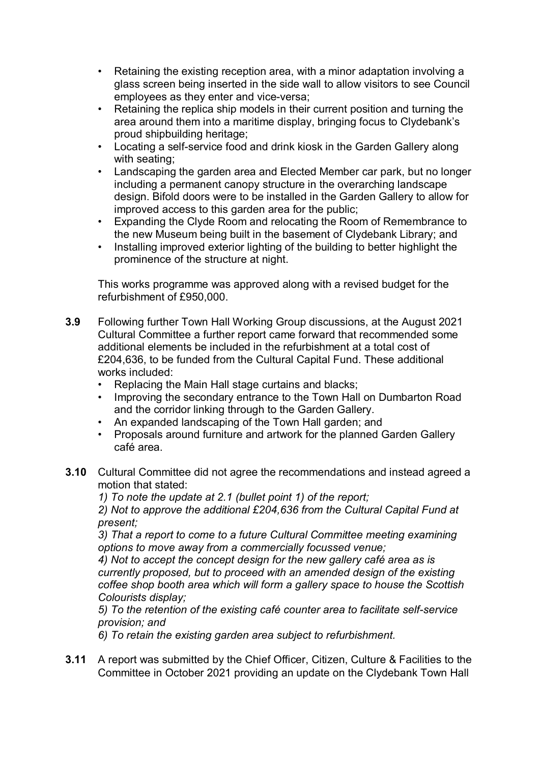- Retaining the existing reception area, with a minor adaptation involving a glass screen being inserted in the side wall to allow visitors to see Council employees as they enter and vice-versa;
- Retaining the replica ship models in their current position and turning the area around them into a maritime display, bringing focus to Clydebank's proud shipbuilding heritage;
- Locating a self-service food and drink kiosk in the Garden Gallery along with seating;
- Landscaping the garden area and Elected Member car park, but no longer including a permanent canopy structure in the overarching landscape design. Bifold doors were to be installed in the Garden Gallery to allow for improved access to this garden area for the public;
- Expanding the Clyde Room and relocating the Room of Remembrance to the new Museum being built in the basement of Clydebank Library; and
- Installing improved exterior lighting of the building to better highlight the prominence of the structure at night.

This works programme was approved along with a revised budget for the refurbishment of £950,000.

- **3.9** Following further Town Hall Working Group discussions, at the August 2021 Cultural Committee a further report came forward that recommended some additional elements be included in the refurbishment at a total cost of £204,636, to be funded from the Cultural Capital Fund. These additional works included:
	- Replacing the Main Hall stage curtains and blacks;
	- Improving the secondary entrance to the Town Hall on Dumbarton Road and the corridor linking through to the Garden Gallery.
	- An expanded landscaping of the Town Hall garden; and
	- Proposals around furniture and artwork for the planned Garden Gallery café area.
- **3.10** Cultural Committee did not agree the recommendations and instead agreed a motion that stated:

*1) To note the update at 2.1 (bullet point 1) of the report;* 

*2) Not to approve the additional £204,636 from the Cultural Capital Fund at present;* 

*3) That a report to come to a future Cultural Committee meeting examining options to move away from a commercially focussed venue;* 

*4) Not to accept the concept design for the new gallery café area as is currently proposed, but to proceed with an amended design of the existing coffee shop booth area which will form a gallery space to house the Scottish Colourists display;* 

*5) To the retention of the existing café counter area to facilitate self-service provision; and* 

*6) To retain the existing garden area subject to refurbishment.*

**3.11** A report was submitted by the Chief Officer, Citizen, Culture & Facilities to the Committee in October 2021 providing an update on the Clydebank Town Hall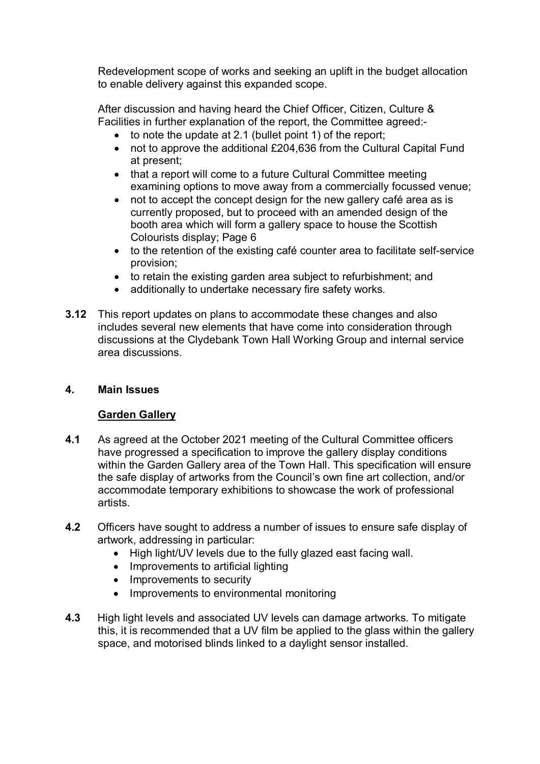Redevelopment scope of works and seeking an uplift in the budget allocation to enable delivery against this expanded scope.

After discussion and having heard the Chief Officer, Citizen, Culture & Facilities in further explanation of the report, the Committee agreed:-

- to note the update at 2.1 (bullet point 1) of the report;
- not to approve the additional £204,636 from the Cultural Capital Fund at present;
- that a report will come to a future Cultural Committee meeting examining options to move away from a commercially focussed venue;
- not to accept the concept design for the new gallery café area as is currently proposed, but to proceed with an amended design of the booth area which will form a gallery space to house the Scottish Colourists display; Page 6
- to the retention of the existing café counter area to facilitate self-service provision;
- to retain the existing garden area subject to refurbishment; and
- additionally to undertake necessary fire safety works.
- **3.12** This report updates on plans to accommodate these changes and also includes several new elements that have come into consideration through discussions at the Clydebank Town Hall Working Group and internal service area discussions.

# **4. Main Issues**

# **Garden Gallery**

- **4.1** As agreed at the October 2021 meeting of the Cultural Committee officers have progressed a specification to improve the gallery display conditions within the Garden Gallery area of the Town Hall. This specification will ensure the safe display of artworks from the Council's own fine art collection, and/or accommodate temporary exhibitions to showcase the work of professional artists.
- **4.2** Officers have sought to address a number of issues to ensure safe display of artwork, addressing in particular:
	- High light/UV levels due to the fully glazed east facing wall.
	- Improvements to artificial lighting
	- Improvements to security
	- Improvements to environmental monitoring
- **4.3** High light levels and associated UV levels can damage artworks. To mitigate this, it is recommended that a UV film be applied to the glass within the gallery space, and motorised blinds linked to a daylight sensor installed.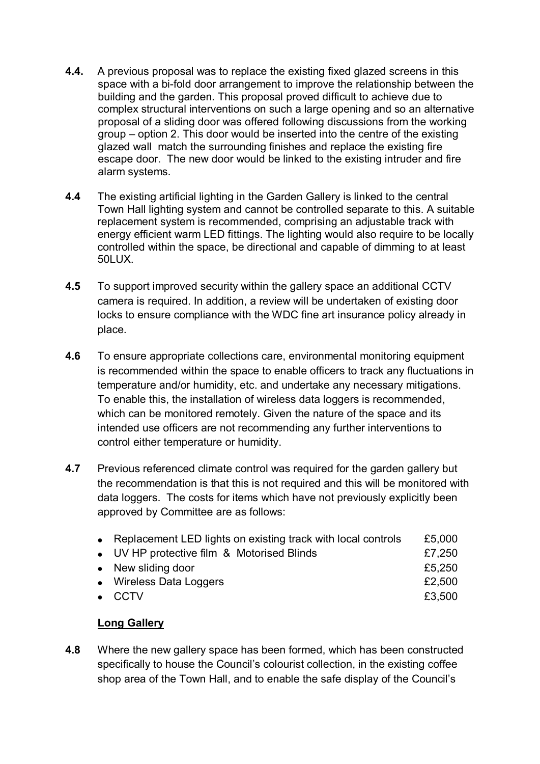- **4.4.** A previous proposal was to replace the existing fixed glazed screens in this space with a bi-fold door arrangement to improve the relationship between the building and the garden. This proposal proved difficult to achieve due to complex structural interventions on such a large opening and so an alternative proposal of a sliding door was offered following discussions from the working group – option 2. This door would be inserted into the centre of the existing glazed wall match the surrounding finishes and replace the existing fire escape door. The new door would be linked to the existing intruder and fire alarm systems.
- **4.4** The existing artificial lighting in the Garden Gallery is linked to the central Town Hall lighting system and cannot be controlled separate to this. A suitable replacement system is recommended, comprising an adjustable track with energy efficient warm LED fittings. The lighting would also require to be locally controlled within the space, be directional and capable of dimming to at least 50LUX.
- **4.5** To support improved security within the gallery space an additional CCTV camera is required. In addition, a review will be undertaken of existing door locks to ensure compliance with the WDC fine art insurance policy already in place.
- **4.6** To ensure appropriate collections care, environmental monitoring equipment is recommended within the space to enable officers to track any fluctuations in temperature and/or humidity, etc. and undertake any necessary mitigations. To enable this, the installation of wireless data loggers is recommended, which can be monitored remotely. Given the nature of the space and its intended use officers are not recommending any further interventions to control either temperature or humidity.
- **4.7** Previous referenced climate control was required for the garden gallery but the recommendation is that this is not required and this will be monitored with data loggers. The costs for items which have not previously explicitly been approved by Committee are as follows:

| • Replacement LED lights on existing track with local controls | £5,000 |
|----------------------------------------------------------------|--------|
| • UV HP protective film & Motorised Blinds                     | £7,250 |
| • New sliding door                                             | £5,250 |
| • Wireless Data Loggers                                        | £2,500 |
| $\bullet$ CCTV                                                 | £3.500 |
|                                                                |        |

# **Long Gallery**

**4.8** Where the new gallery space has been formed, which has been constructed specifically to house the Council's colourist collection, in the existing coffee shop area of the Town Hall, and to enable the safe display of the Council's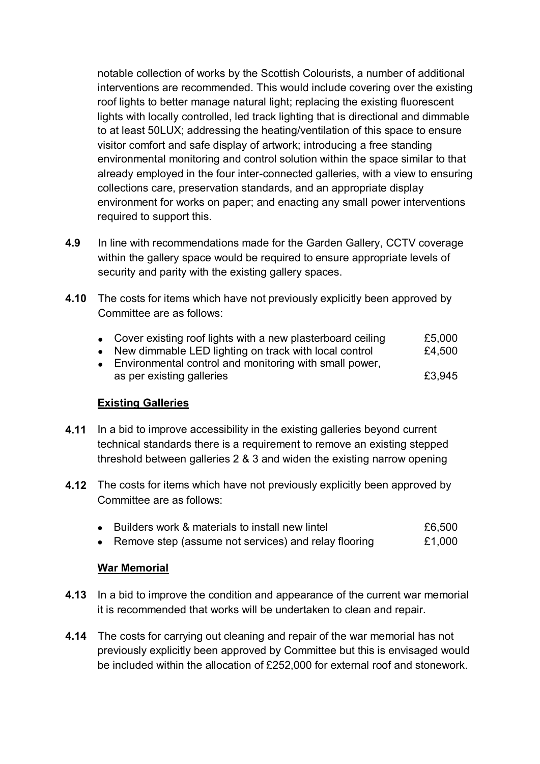notable collection of works by the Scottish Colourists, a number of additional interventions are recommended. This would include covering over the existing roof lights to better manage natural light; replacing the existing fluorescent lights with locally controlled, led track lighting that is directional and dimmable to at least 50LUX; addressing the heating/ventilation of this space to ensure visitor comfort and safe display of artwork; introducing a free standing environmental monitoring and control solution within the space similar to that already employed in the four inter-connected galleries, with a view to ensuring collections care, preservation standards, and an appropriate display environment for works on paper; and enacting any small power interventions required to support this.

- **4.9** In line with recommendations made for the Garden Gallery, CCTV coverage within the gallery space would be required to ensure appropriate levels of security and parity with the existing gallery spaces.
- **4.10** The costs for items which have not previously explicitly been approved by Committee are as follows:
	- Cover existing roof lights with a new plasterboard ceiling E5,000
	- New dimmable LED lighting on track with local control  $£4,500$
	- Environmental control and monitoring with small power, as per existing galleries **E3,945**

# **Existing Galleries**

- **4.11** In a bid to improve accessibility in the existing galleries beyond current technical standards there is a requirement to remove an existing stepped threshold between galleries 2 & 3 and widen the existing narrow opening
- **4.12** The costs for items which have not previously explicitly been approved by Committee are as follows:

| £6,500<br>Builders work & materials to install new lintel |
|-----------------------------------------------------------|
|-----------------------------------------------------------|

• Remove step (assume not services) and relay flooring E1,000

# **War Memorial**

- **4.13** In a bid to improve the condition and appearance of the current war memorial it is recommended that works will be undertaken to clean and repair.
- **4.14** The costs for carrying out cleaning and repair of the war memorial has not previously explicitly been approved by Committee but this is envisaged would be included within the allocation of £252,000 for external roof and stonework.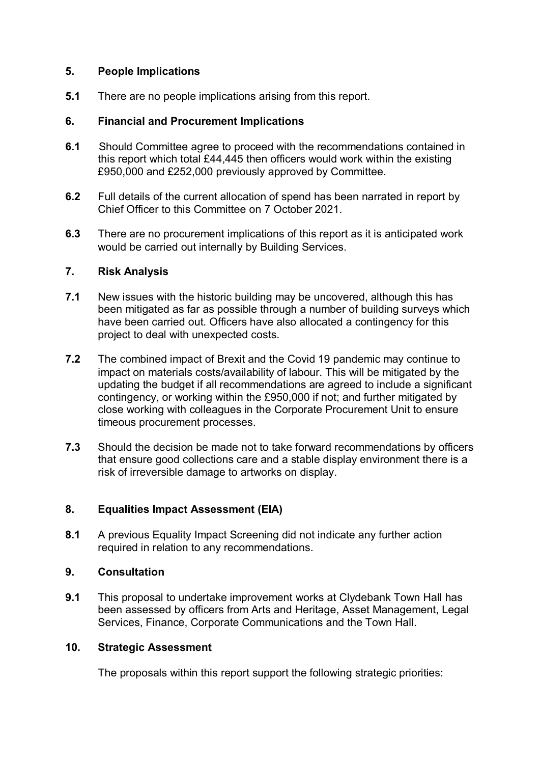#### **5. People Implications**

**5.1** There are no people implications arising from this report.

#### **6. Financial and Procurement Implications**

- **6.1** Should Committee agree to proceed with the recommendations contained in this report which total £44,445 then officers would work within the existing £950,000 and £252,000 previously approved by Committee.
- **6.2** Full details of the current allocation of spend has been narrated in report by Chief Officer to this Committee on 7 October 2021.
- **6.3** There are no procurement implications of this report as it is anticipated work would be carried out internally by Building Services.

#### **7. Risk Analysis**

- **7.1** New issues with the historic building may be uncovered, although this has been mitigated as far as possible through a number of building surveys which have been carried out. Officers have also allocated a contingency for this project to deal with unexpected costs.
- **7.2** The combined impact of Brexit and the Covid 19 pandemic may continue to impact on materials costs/availability of labour. This will be mitigated by the updating the budget if all recommendations are agreed to include a significant contingency, or working within the £950,000 if not; and further mitigated by close working with colleagues in the Corporate Procurement Unit to ensure timeous procurement processes.
- **7.3** Should the decision be made not to take forward recommendations by officers that ensure good collections care and a stable display environment there is a risk of irreversible damage to artworks on display.

# **8. Equalities Impact Assessment (EIA)**

**8.1** A previous Equality Impact Screening did not indicate any further action required in relation to any recommendations.

# **9. Consultation**

**9.1** This proposal to undertake improvement works at Clydebank Town Hall has been assessed by officers from Arts and Heritage, Asset Management, Legal Services, Finance, Corporate Communications and the Town Hall.

#### **10. Strategic Assessment**

The proposals within this report support the following strategic priorities: